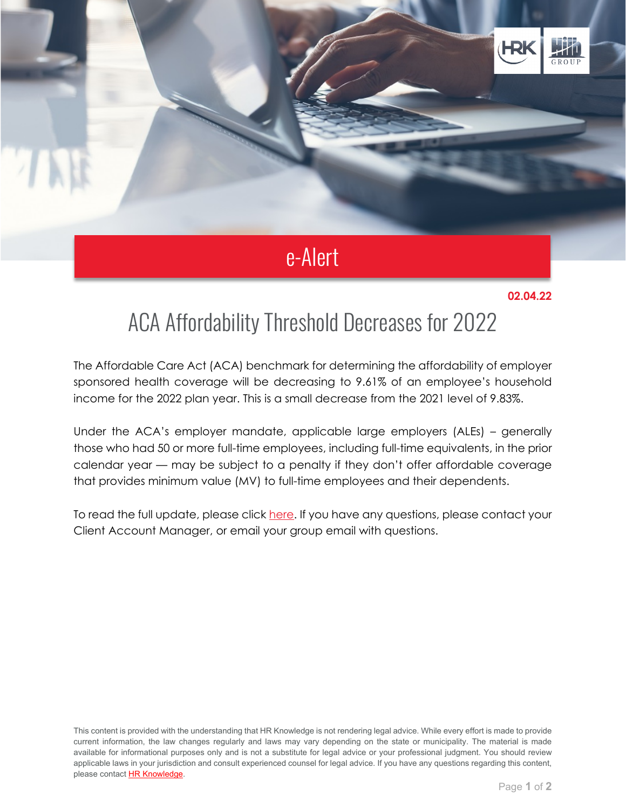

## e-Alert

## **02.04.22**

## ACA Affordability Threshold Decreases for 2022

The Affordable Care Act (ACA) benchmark for determining the affordability of employer sponsored health coverage will be decreasing to 9.61% of an employee's household income for the 2022 plan year. This is a small decrease from the 2021 level of 9.83%.

Under the ACA's employer mandate, applicable large employers (ALEs) – generally those who had 50 or more full-time employees, including full-time equivalents, in the prior calendar year — may be subject to a penalty if they don't offer affordable coverage that provides minimum value (MV) to full-time employees and their dependents.

To read the full update, please click [here.](https://linkprotect.cudasvc.com/url?a=https%3a%2f%2fhilbgroup.us1.list-manage.com%2ftrack%2fclick%3fu%3da33189e971c6f16e20840d458%26id%3d293cf89ddf%26e%3df9d21bd7eb&c=E,1,fcKQg5fzZ2yvpJytyMOVDVavqdNq_r58Z6aZnHlIZ_elYFS-y__T8USkk4GOiNlkYzXnaedmTAaC3tMlZ13tytdGzcQstqlx0qvEO76a&typo=1) If you have any questions, please contact your Client Account Manager, or email your group email with questions.

This content is provided with the understanding that HR Knowledge is not rendering legal advice. While every effort is made to provide current information, the law changes regularly and laws may vary depending on the state or municipality. The material is made available for informational purposes only and is not a substitute for legal advice or your professional judgment. You should review applicable laws in your jurisdiction and consult experienced counsel for legal advice. If you have any questions regarding this content, please contact [HR Knowledge.](mailto:marketing@hrknowledge.com)